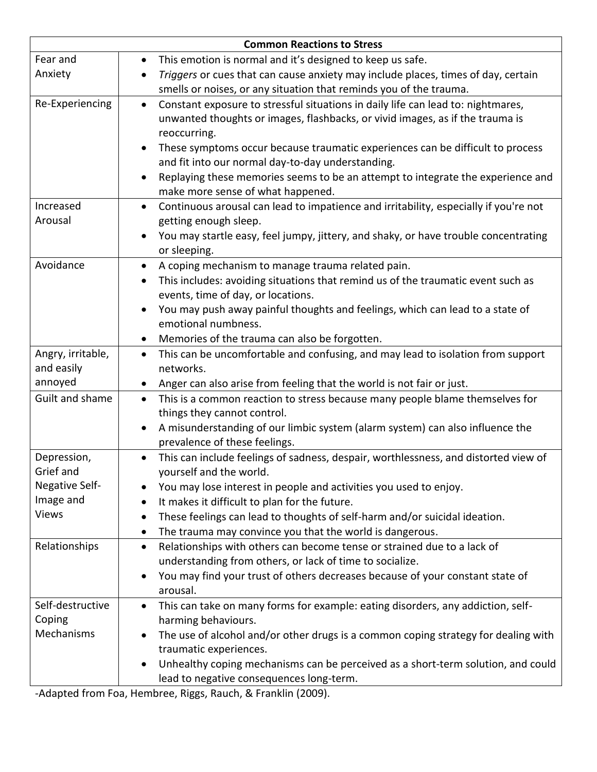| <b>Common Reactions to Stress</b> |                                                                                                                     |
|-----------------------------------|---------------------------------------------------------------------------------------------------------------------|
| Fear and                          | This emotion is normal and it's designed to keep us safe.<br>$\bullet$                                              |
| Anxiety                           | Triggers or cues that can cause anxiety may include places, times of day, certain<br>$\bullet$                      |
|                                   | smells or noises, or any situation that reminds you of the trauma.                                                  |
| Re-Experiencing                   | Constant exposure to stressful situations in daily life can lead to: nightmares,<br>$\bullet$                       |
|                                   | unwanted thoughts or images, flashbacks, or vivid images, as if the trauma is                                       |
|                                   | reoccurring.                                                                                                        |
|                                   | These symptoms occur because traumatic experiences can be difficult to process                                      |
|                                   | and fit into our normal day-to-day understanding.                                                                   |
|                                   | Replaying these memories seems to be an attempt to integrate the experience and                                     |
|                                   | make more sense of what happened.                                                                                   |
| Increased                         | Continuous arousal can lead to impatience and irritability, especially if you're not<br>$\bullet$                   |
| Arousal                           | getting enough sleep.                                                                                               |
|                                   | You may startle easy, feel jumpy, jittery, and shaky, or have trouble concentrating                                 |
|                                   | or sleeping.                                                                                                        |
| Avoidance                         | A coping mechanism to manage trauma related pain.                                                                   |
|                                   | This includes: avoiding situations that remind us of the traumatic event such as                                    |
|                                   | events, time of day, or locations.                                                                                  |
|                                   | You may push away painful thoughts and feelings, which can lead to a state of                                       |
|                                   | emotional numbness.                                                                                                 |
|                                   | Memories of the trauma can also be forgotten.                                                                       |
| Angry, irritable,                 | This can be uncomfortable and confusing, and may lead to isolation from support<br>$\bullet$                        |
| and easily                        | networks.                                                                                                           |
| annoyed                           | Anger can also arise from feeling that the world is not fair or just.<br>$\bullet$                                  |
| Guilt and shame                   | This is a common reaction to stress because many people blame themselves for<br>$\bullet$                           |
|                                   | things they cannot control.                                                                                         |
|                                   | A misunderstanding of our limbic system (alarm system) can also influence the                                       |
|                                   | prevalence of these feelings.                                                                                       |
| Depression,                       | This can include feelings of sadness, despair, worthlessness, and distorted view of                                 |
| Grief and                         | yourself and the world.                                                                                             |
| Negative Self-<br>Image and       | You may lose interest in people and activities you used to enjoy.                                                   |
| <b>Views</b>                      | It makes it difficult to plan for the future.<br>$\bullet$                                                          |
|                                   | These feelings can lead to thoughts of self-harm and/or suicidal ideation.                                          |
|                                   | The trauma may convince you that the world is dangerous.                                                            |
| Relationships                     | Relationships with others can become tense or strained due to a lack of<br>$\bullet$                                |
|                                   | understanding from others, or lack of time to socialize.                                                            |
|                                   | You may find your trust of others decreases because of your constant state of                                       |
| Self-destructive                  | arousal.                                                                                                            |
| Coping                            | This can take on many forms for example: eating disorders, any addiction, self-<br>$\bullet$<br>harming behaviours. |
| Mechanisms                        | The use of alcohol and/or other drugs is a common coping strategy for dealing with                                  |
|                                   | traumatic experiences.                                                                                              |
|                                   | Unhealthy coping mechanisms can be perceived as a short-term solution, and could                                    |
|                                   |                                                                                                                     |
|                                   | lead to negative consequences long-term.                                                                            |

-Adapted from Foa, Hembree, Riggs, Rauch, & Franklin (2009).